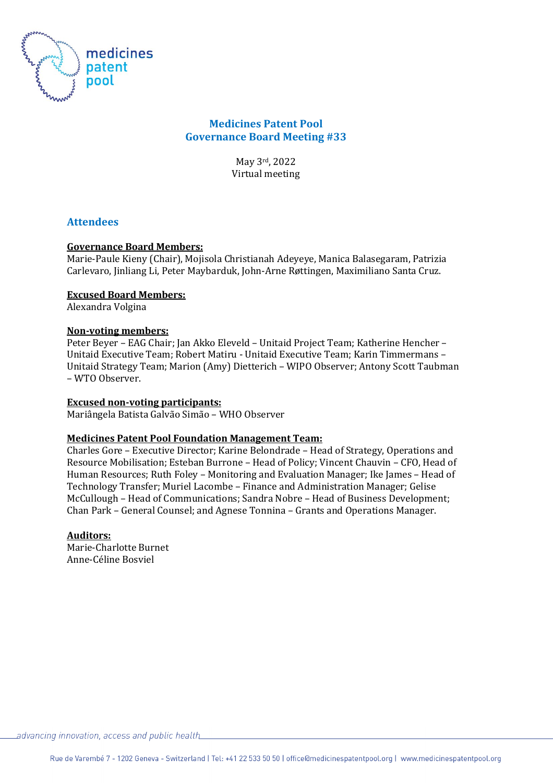

# **Medicines Patent Pool Governance Board Meeting #33**

May 3rd, 2022 Virtual meeting

# **Attendees**

## **Governance Board Members:**

Marie-Paule Kieny (Chair), Mojisola Christianah Adeyeye, Manica Balasegaram, Patrizia Carlevaro, Jinliang Li, Peter Maybarduk, John-Arne Røttingen, Maximiliano Santa Cruz.

### **Excused Board Members:**

Alexandra Volgina

### **Non-voting members:**

Peter Beyer – EAG Chair; Jan Akko Eleveld – Unitaid Project Team; Katherine Hencher – Unitaid Executive Team; Robert Matiru - Unitaid Executive Team; Karin Timmermans – Unitaid Strategy Team; Marion (Amy) Dietterich – WIPO Observer; Antony Scott Taubman – WTO Observer.

#### **Excused non-voting participants:**

Mariângela Batista Galvão Simão – WHO Observer

#### **Medicines Patent Pool Foundation Management Team:**

Charles Gore – Executive Director; Karine Belondrade – Head of Strategy, Operations and Resource Mobilisation; Esteban Burrone – Head of Policy; Vincent Chauvin – CFO, Head of Human Resources; Ruth Foley – Monitoring and Evaluation Manager; Ike James – Head of Technology Transfer; Muriel Lacombe – Finance and Administration Manager; Gelise McCullough – Head of Communications; Sandra Nobre – Head of Business Development; Chan Park – General Counsel; and Agnese Tonnina – Grants and Operations Manager.

#### **Auditors:**

Marie-Charlotte Burnet Anne-Céline Bosviel

 $\_ad$ vancing innovation, access and public health $\_$